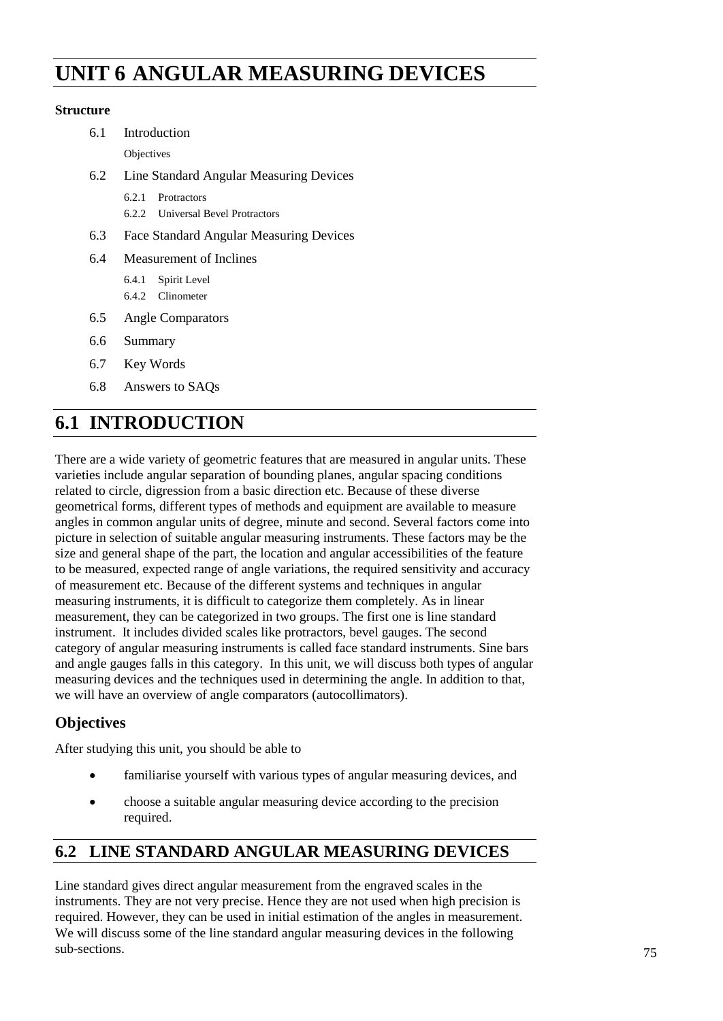# **Angular Measuring UNIT 6 ANGULAR MEASURING DEVICES Devices**

### **Structure**

| 6.1 | Introduction                                |  |
|-----|---------------------------------------------|--|
|     | Objectives                                  |  |
| 6.2 | Line Standard Angular Measuring Devices     |  |
|     | 6.2.1<br>Protractors                        |  |
|     | <b>Universal Bevel Protractors</b><br>6.2.2 |  |
| 6.3 | Face Standard Angular Measuring Devices     |  |
| 6.4 | Measurement of Inclines                     |  |
|     | Spirit Level<br>6.4.1                       |  |
|     | 6.4.2 Clinometer                            |  |
| 6.5 | <b>Angle Comparators</b>                    |  |
| 6.6 | Summary                                     |  |
| 6.7 | Key Words                                   |  |
| 6.8 | Answers to SAOs                             |  |

# **6.1 INTRODUCTION**

There are a wide variety of geometric features that are measured in angular units. These varieties include angular separation of bounding planes, angular spacing conditions related to circle, digression from a basic direction etc. Because of these diverse geometrical forms, different types of methods and equipment are available to measure angles in common angular units of degree, minute and second. Several factors come into picture in selection of suitable angular measuring instruments. These factors may be the size and general shape of the part, the location and angular accessibilities of the feature to be measured, expected range of angle variations, the required sensitivity and accuracy of measurement etc. Because of the different systems and techniques in angular measuring instruments, it is difficult to categorize them completely. As in linear measurement, they can be categorized in two groups. The first one is line standard instrument. It includes divided scales like protractors, bevel gauges. The second category of angular measuring instruments is called face standard instruments. Sine bars and angle gauges falls in this category. In this unit, we will discuss both types of angular measuring devices and the techniques used in determining the angle. In addition to that, we will have an overview of angle comparators (autocollimators).

# **Objectives**

After studying this unit, you should be able to

- familiarise yourself with various types of angular measuring devices, and
- choose a suitable angular measuring device according to the precision required.

# **6.2 LINE STANDARD ANGULAR MEASURING DEVICES**

Line standard gives direct angular measurement from the engraved scales in the instruments. They are not very precise. Hence they are not used when high precision is required. However, they can be used in initial estimation of the angles in measurement. We will discuss some of the line standard angular measuring devices in the following sub-sections.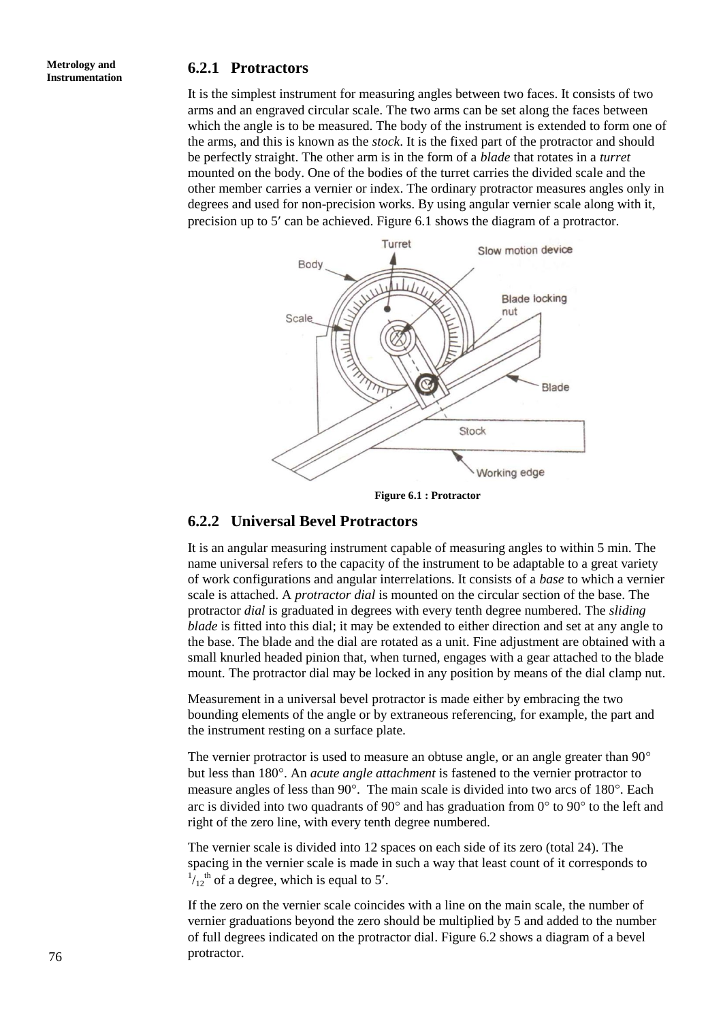#### **Metrology and Instrumentation**

### **6.2.1 Protractors**

It is the simplest instrument for measuring angles between two faces. It consists of two arms and an engraved circular scale. The two arms can be set along the faces between which the angle is to be measured. The body of the instrument is extended to form one of the arms, and this is known as the *stock*. It is the fixed part of the protractor and should be perfectly straight. The other arm is in the form of a *blade* that rotates in a *turret* mounted on the body. One of the bodies of the turret carries the divided scale and the other member carries a vernier or index. The ordinary protractor measures angles only in degrees and used for non-precision works. By using angular vernier scale along with it, precision up to 5' can be achieved. Figure 6.1 shows the diagram of a protractor.



**Figure 6.1 : Protractor**

#### **6.2.2 Universal Bevel Protractors**

It is an angular measuring instrument capable of measuring angles to within 5 min. The name universal refers to the capacity of the instrument to be adaptable to a great variety of work configurations and angular interrelations. It consists of a *base* to which a vernier scale is attached. A *protractor dial* is mounted on the circular section of the base. The protractor *dial* is graduated in degrees with every tenth degree numbered. The *sliding blade* is fitted into this dial; it may be extended to either direction and set at any angle to the base. The blade and the dial are rotated as a unit. Fine adjustment are obtained with a small knurled headed pinion that, when turned, engages with a gear attached to the blade mount. The protractor dial may be locked in any position by means of the dial clamp nut.

Measurement in a universal bevel protractor is made either by embracing the two bounding elements of the angle or by extraneous referencing, for example, the part and the instrument resting on a surface plate.

The vernier protractor is used to measure an obtuse angle, or an angle greater than 90<sup>o</sup> but less than 180°. An *acute angle attachment* is fastened to the vernier protractor to measure angles of less than  $90^\circ$ . The main scale is divided into two arcs of  $180^\circ$ . Each arc is divided into two quadrants of 90 $^{\circ}$  and has graduation from 0 $^{\circ}$  to 90 $^{\circ}$  to the left and right of the zero line, with every tenth degree numbered.

The vernier scale is divided into 12 spaces on each side of its zero (total 24). The spacing in the vernier scale is made in such a way that least count of it corresponds to  $\frac{1}{12}$ <sup>th</sup> of a degree, which is equal to 5'.

If the zero on the vernier scale coincides with a line on the main scale, the number of vernier graduations beyond the zero should be multiplied by 5 and added to the number of full degrees indicated on the protractor dial. Figure 6.2 shows a diagram of a bevel protractor.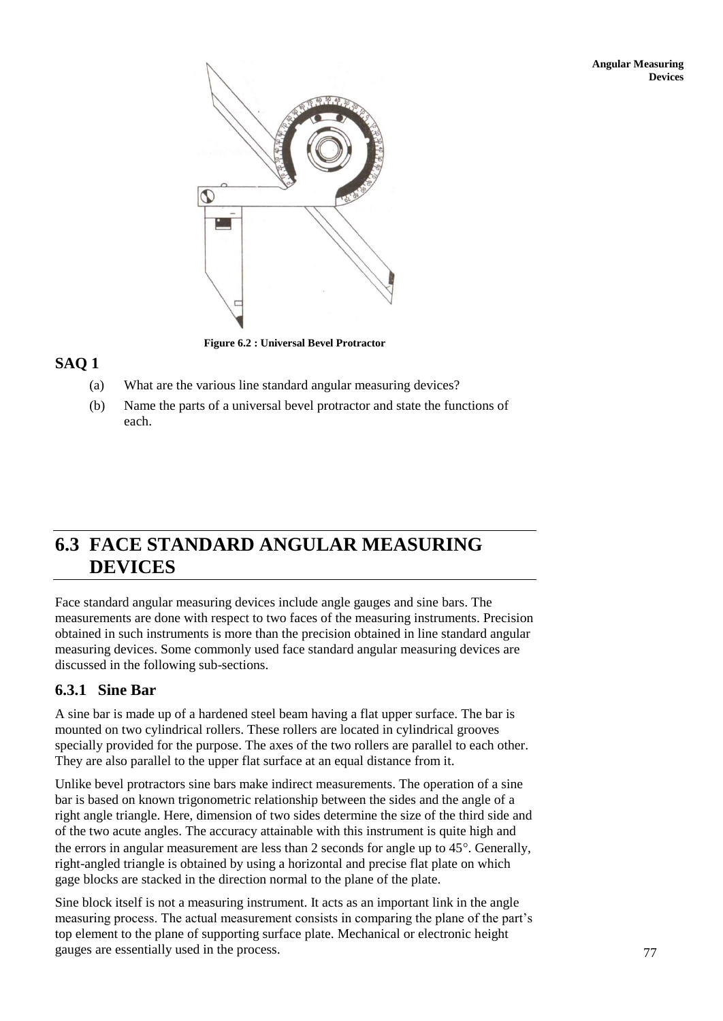

**Figure 6.2 : Universal Bevel Protractor**

## **SAQ 1**

- (a) What are the various line standard angular measuring devices?
- (b) Name the parts of a universal bevel protractor and state the functions of each.

# **6.3 FACE STANDARD ANGULAR MEASURING DEVICES**

Face standard angular measuring devices include angle gauges and sine bars. The measurements are done with respect to two faces of the measuring instruments. Precision obtained in such instruments is more than the precision obtained in line standard angular measuring devices. Some commonly used face standard angular measuring devices are discussed in the following sub-sections.

## **6.3.1 Sine Bar**

A sine bar is made up of a hardened steel beam having a flat upper surface. The bar is mounted on two cylindrical rollers. These rollers are located in cylindrical grooves specially provided for the purpose. The axes of the two rollers are parallel to each other. They are also parallel to the upper flat surface at an equal distance from it.

Unlike bevel protractors sine bars make indirect measurements. The operation of a sine bar is based on known trigonometric relationship between the sides and the angle of a right angle triangle. Here, dimension of two sides determine the size of the third side and of the two acute angles. The accuracy attainable with this instrument is quite high and the errors in angular measurement are less than 2 seconds for angle up to  $45^\circ$ . Generally, right-angled triangle is obtained by using a horizontal and precise flat plate on which gage blocks are stacked in the direction normal to the plane of the plate.

Sine block itself is not a measuring instrument. It acts as an important link in the angle measuring process. The actual measurement consists in comparing the plane of the part's top element to the plane of supporting surface plate. Mechanical or electronic height gauges are essentially used in the process.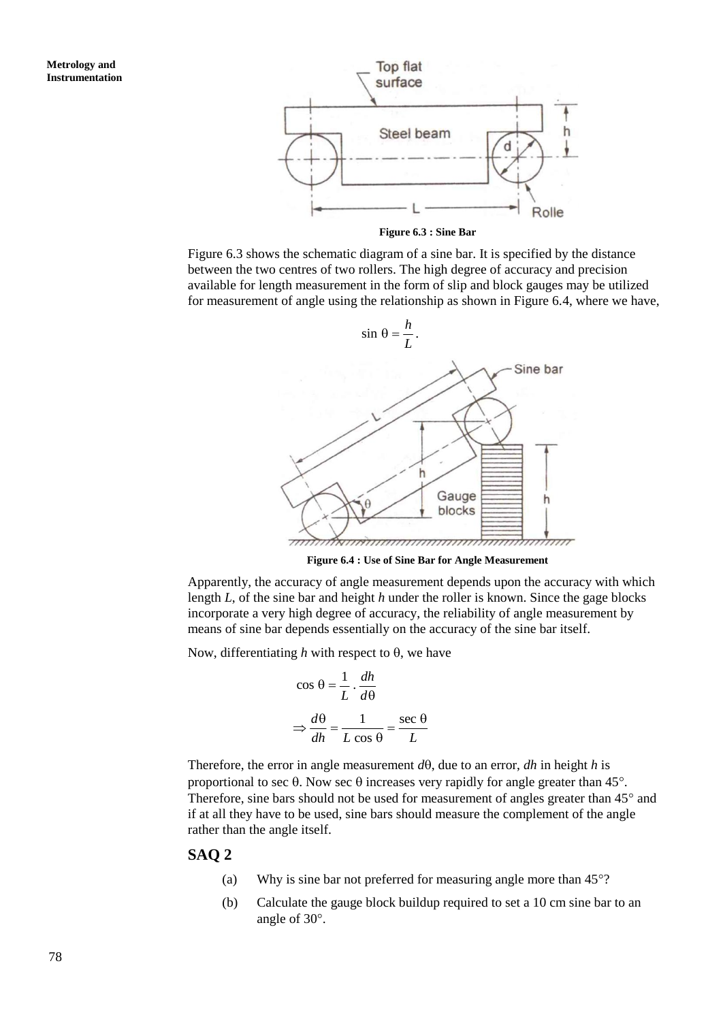

**Figure 6.3 : Sine Bar**

Figure 6.3 shows the schematic diagram of a sine bar. It is specified by the distance between the two centres of two rollers. The high degree of accuracy and precision available for length measurement in the form of slip and block gauges may be utilized for measurement of angle using the relationship as shown in Figure 6.4, where we have,



**Figure 6.4 : Use of Sine Bar for Angle Measurement**

Apparently, the accuracy of angle measurement depends upon the accuracy with which length *L*, of the sine bar and height *h* under the roller is known. Since the gage blocks incorporate a very high degree of accuracy, the reliability of angle measurement by means of sine bar depends essentially on the accuracy of the sine bar itself.

Now, differentiating h with respect to  $\theta$ , we have

$$
\cos \theta = \frac{1}{L} \cdot \frac{dh}{d\theta}
$$

$$
\Rightarrow \frac{d\theta}{dh} = \frac{1}{L \cos \theta} = \frac{\sec \theta}{L}
$$

Therefore, the error in angle measurement  $d\theta$ , due to an error, *dh* in height *h* is proportional to sec  $\theta$ . Now sec  $\theta$  increases very rapidly for angle greater than 45°. Therefore, sine bars should not be used for measurement of angles greater than  $45^{\circ}$  and if at all they have to be used, sine bars should measure the complement of the angle rather than the angle itself.

#### **SAQ 2**

- (a) Why is sine bar not preferred for measuring angle more than  $45^{\circ}$ ?
- (b) Calculate the gauge block buildup required to set a 10 cm sine bar to an angle of 30°.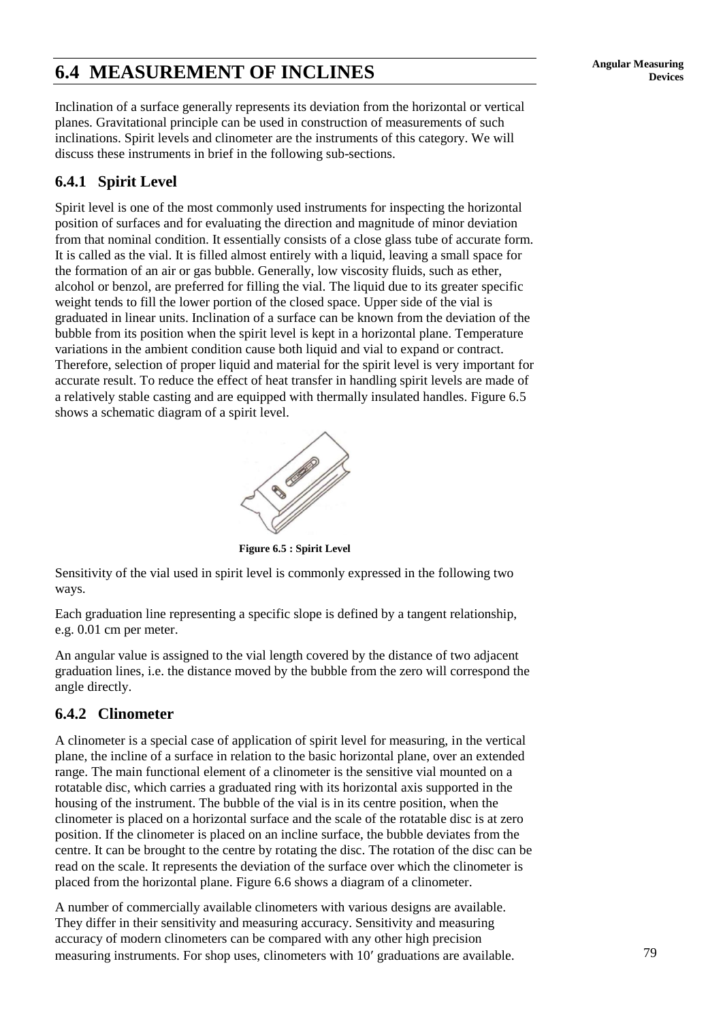# **6.4 MEASUREMENT OF INCLINES** Angular Measuring **Property**

Inclination of a surface generally represents its deviation from the horizontal or vertical planes. Gravitational principle can be used in construction of measurements of such inclinations. Spirit levels and clinometer are the instruments of this category. We will discuss these instruments in brief in the following sub-sections.

## **6.4.1 Spirit Level**

Spirit level is one of the most commonly used instruments for inspecting the horizontal position of surfaces and for evaluating the direction and magnitude of minor deviation from that nominal condition. It essentially consists of a close glass tube of accurate form. It is called as the vial. It is filled almost entirely with a liquid, leaving a small space for the formation of an air or gas bubble. Generally, low viscosity fluids, such as ether, alcohol or benzol, are preferred for filling the vial. The liquid due to its greater specific weight tends to fill the lower portion of the closed space. Upper side of the vial is graduated in linear units. Inclination of a surface can be known from the deviation of the bubble from its position when the spirit level is kept in a horizontal plane. Temperature variations in the ambient condition cause both liquid and vial to expand or contract. Therefore, selection of proper liquid and material for the spirit level is very important for accurate result. To reduce the effect of heat transfer in handling spirit levels are made of a relatively stable casting and are equipped with thermally insulated handles. Figure 6.5 shows a schematic diagram of a spirit level.



**Figure 6.5 : Spirit Level**

Sensitivity of the vial used in spirit level is commonly expressed in the following two ways.

Each graduation line representing a specific slope is defined by a tangent relationship, e.g. 0.01 cm per meter.

An angular value is assigned to the vial length covered by the distance of two adjacent graduation lines, i.e. the distance moved by the bubble from the zero will correspond the angle directly.

### **6.4.2 Clinometer**

A clinometer is a special case of application of spirit level for measuring, in the vertical plane, the incline of a surface in relation to the basic horizontal plane, over an extended range. The main functional element of a clinometer is the sensitive vial mounted on a rotatable disc, which carries a graduated ring with its horizontal axis supported in the housing of the instrument. The bubble of the vial is in its centre position, when the clinometer is placed on a horizontal surface and the scale of the rotatable disc is at zero position. If the clinometer is placed on an incline surface, the bubble deviates from the centre. It can be brought to the centre by rotating the disc. The rotation of the disc can be read on the scale. It represents the deviation of the surface over which the clinometer is placed from the horizontal plane. Figure 6.6 shows a diagram of a clinometer.

A number of commercially available clinometers with various designs are available. They differ in their sensitivity and measuring accuracy. Sensitivity and measuring accuracy of modern clinometers can be compared with any other high precision measuring instruments. For shop uses, clinometers with 10' graduations are available.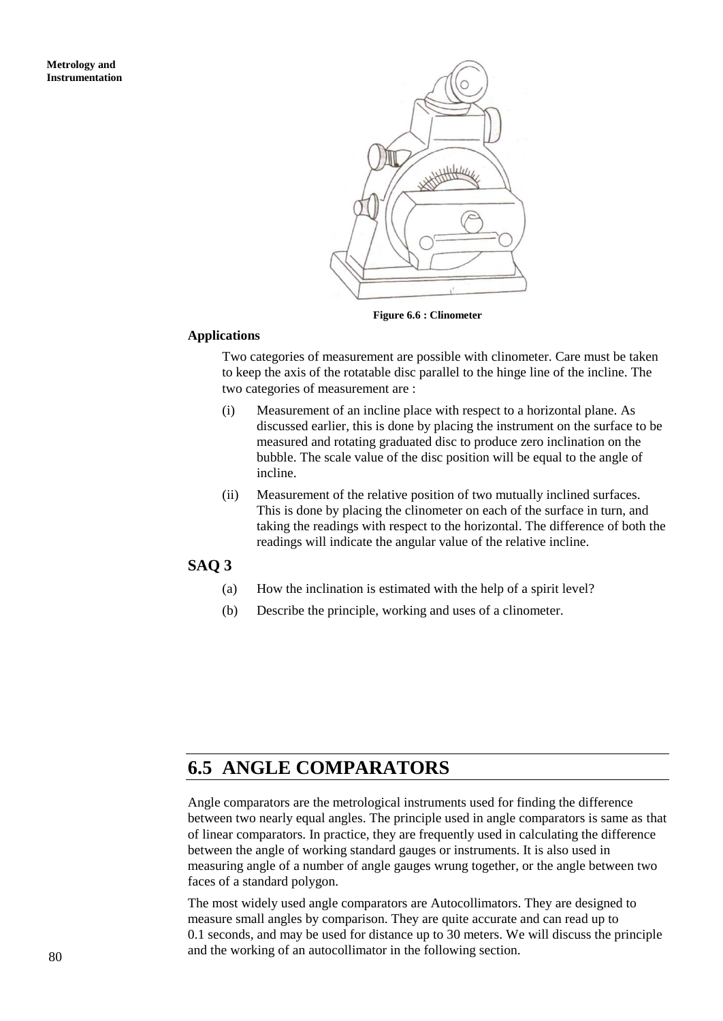

**Figure 6.6 : Clinometer**

#### **Applications**

Two categories of measurement are possible with clinometer. Care must be taken to keep the axis of the rotatable disc parallel to the hinge line of the incline. The two categories of measurement are :

- (i) Measurement of an incline place with respect to a horizontal plane. As discussed earlier, this is done by placing the instrument on the surface to be measured and rotating graduated disc to produce zero inclination on the bubble. The scale value of the disc position will be equal to the angle of incline.
- (ii) Measurement of the relative position of two mutually inclined surfaces. This is done by placing the clinometer on each of the surface in turn, and taking the readings with respect to the horizontal. The difference of both the readings will indicate the angular value of the relative incline.

### **SAQ 3**

- (a) How the inclination is estimated with the help of a spirit level?
- (b) Describe the principle, working and uses of a clinometer.

# **6.5 ANGLE COMPARATORS**

Angle comparators are the metrological instruments used for finding the difference between two nearly equal angles. The principle used in angle comparators is same as that of linear comparators. In practice, they are frequently used in calculating the difference between the angle of working standard gauges or instruments. It is also used in measuring angle of a number of angle gauges wrung together, or the angle between two faces of a standard polygon.

The most widely used angle comparators are Autocollimators. They are designed to measure small angles by comparison. They are quite accurate and can read up to 0.1 seconds, and may be used for distance up to 30 meters. We will discuss the principle and the working of an autocollimator in the following section.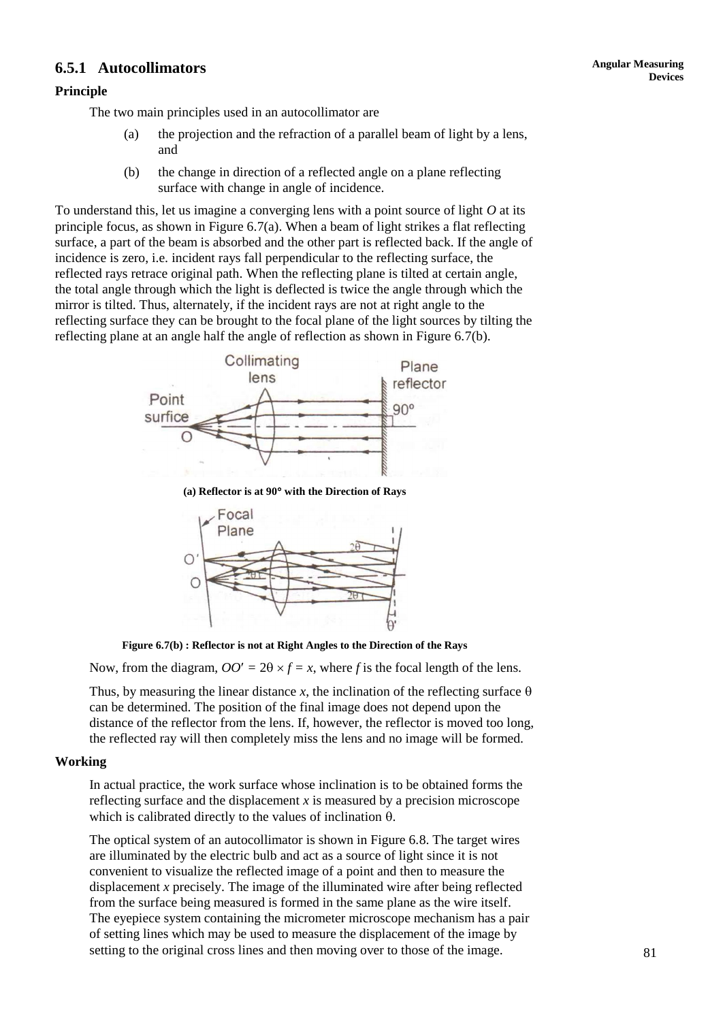# **Devices 6.5.1 Autocollimators**

#### **Principle**

The two main principles used in an autocollimator are

- (a) the projection and the refraction of a parallel beam of light by a lens, and
- (b) the change in direction of a reflected angle on a plane reflecting surface with change in angle of incidence.

To understand this, let us imagine a converging lens with a point source of light *O* at its principle focus, as shown in Figure 6.7(a). When a beam of light strikes a flat reflecting surface, a part of the beam is absorbed and the other part is reflected back. If the angle of incidence is zero, i.e*.* incident rays fall perpendicular to the reflecting surface, the reflected rays retrace original path. When the reflecting plane is tilted at certain angle, the total angle through which the light is deflected is twice the angle through which the mirror is tilted. Thus, alternately, if the incident rays are not at right angle to the reflecting surface they can be brought to the focal plane of the light sources by tilting the reflecting plane at an angle half the angle of reflection as shown in Figure 6.7(b).



**(a) Reflector is at 90 with the Direction of Rays**



**Figure 6.7(b) : Reflector is not at Right Angles to the Direction of the Rays**

Now, from the diagram,  $OO' = 2\theta \times f = x$ , where f is the focal length of the lens.

Thus, by measuring the linear distance *x*, the inclination of the reflecting surface  $\theta$ can be determined. The position of the final image does not depend upon the distance of the reflector from the lens. If, however, the reflector is moved too long, the reflected ray will then completely miss the lens and no image will be formed.

#### **Working**

In actual practice, the work surface whose inclination is to be obtained forms the reflecting surface and the displacement *x* is measured by a precision microscope which is calibrated directly to the values of inclination  $\theta$ .

The optical system of an autocollimator is shown in Figure 6.8. The target wires are illuminated by the electric bulb and act as a source of light since it is not convenient to visualize the reflected image of a point and then to measure the displacement *x* precisely. The image of the illuminated wire after being reflected from the surface being measured is formed in the same plane as the wire itself. The eyepiece system containing the micrometer microscope mechanism has a pair of setting lines which may be used to measure the displacement of the image by setting to the original cross lines and then moving over to those of the image.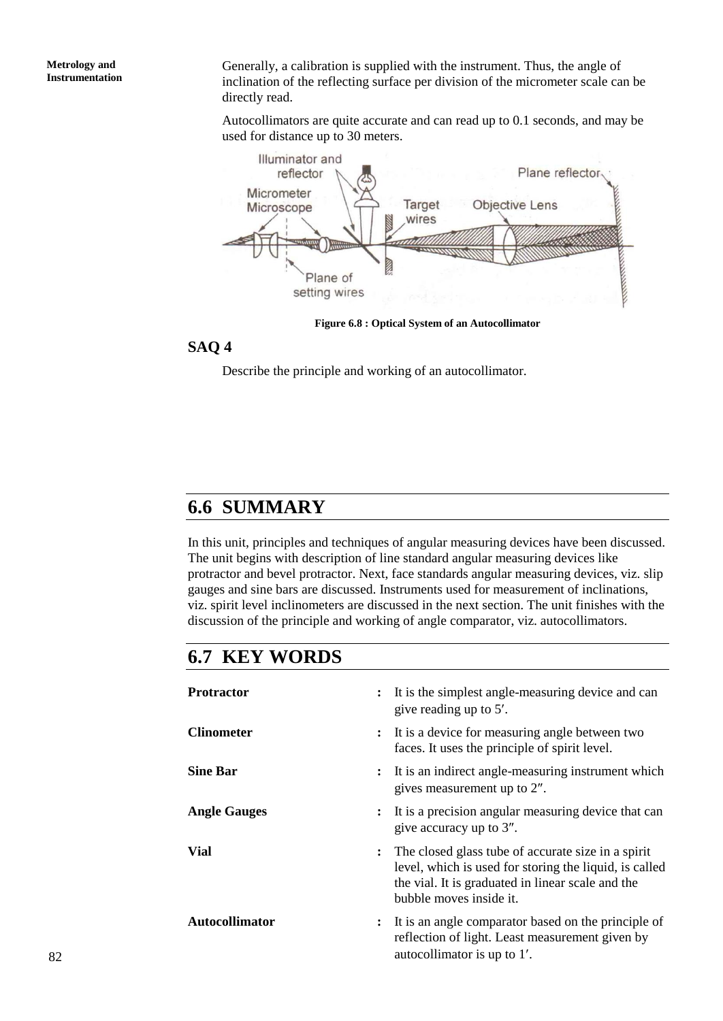**Metrology and Instrumentation** Generally, a calibration is supplied with the instrument. Thus, the angle of inclination of the reflecting surface per division of the micrometer scale can be directly read.

Autocollimators are quite accurate and can read up to 0.1 seconds, and may be used for distance up to 30 meters.



**Figure 6.8 : Optical System of an Autocollimator**

## **SAQ 4**

Describe the principle and working of an autocollimator.

# **6.6 SUMMARY**

In this unit, principles and techniques of angular measuring devices have been discussed. The unit begins with description of line standard angular measuring devices like protractor and bevel protractor. Next, face standards angular measuring devices, viz. slip gauges and sine bars are discussed. Instruments used for measurement of inclinations, viz. spirit level inclinometers are discussed in the next section. The unit finishes with the discussion of the principle and working of angle comparator, viz. autocollimators.

# **6.7 KEY WORDS**

| <b>Protractor</b>     | It is the simplest angle-measuring device and can<br>give reading up to 5'.                                                                                                                    |
|-----------------------|------------------------------------------------------------------------------------------------------------------------------------------------------------------------------------------------|
| <b>Clinometer</b>     | : It is a device for measuring angle between two<br>faces. It uses the principle of spirit level.                                                                                              |
| <b>Sine Bar</b>       | : It is an indirect angle-measuring instrument which<br>gives measurement up to 2".                                                                                                            |
| <b>Angle Gauges</b>   | It is a precision angular measuring device that can<br>give accuracy up to 3".                                                                                                                 |
| <b>Vial</b>           | : The closed glass tube of accurate size in a spirit<br>level, which is used for storing the liquid, is called<br>the vial. It is graduated in linear scale and the<br>bubble moves inside it. |
| <b>Autocollimator</b> | It is an angle comparator based on the principle of<br>reflection of light. Least measurement given by<br>autocollimator is up to 1'.                                                          |